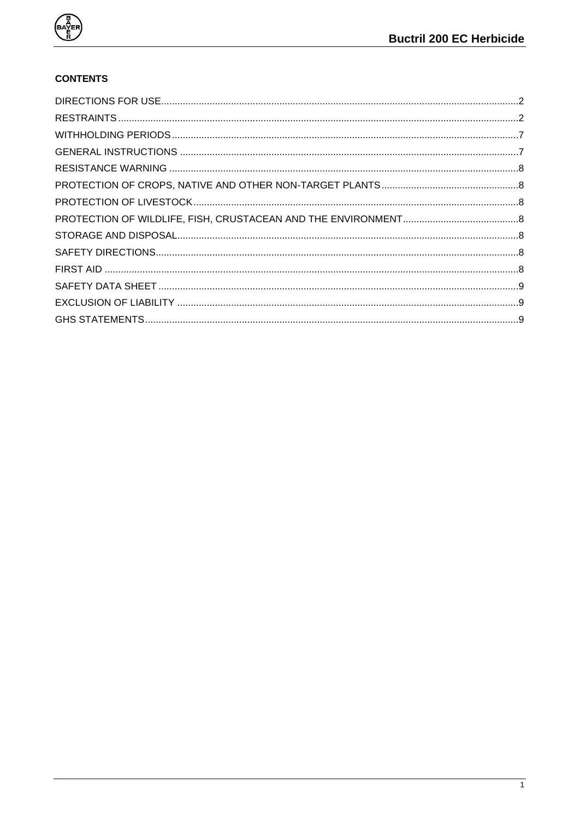

# **CONTENTS**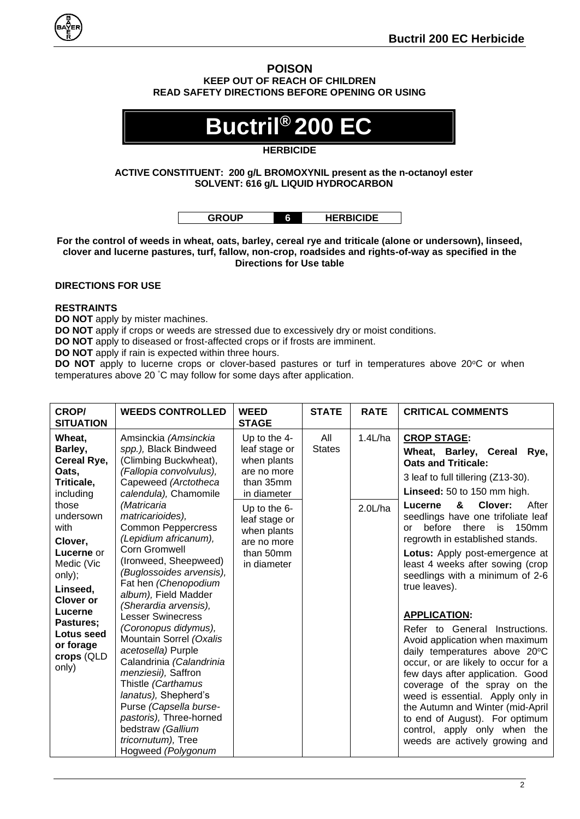

#### **POISON KEEP OUT OF REACH OF CHILDREN READ SAFETY DIRECTIONS BEFORE OPENING OR USING**

# **Buctril® 200 EC**

# **HERBICIDE**

# **ACTIVE CONSTITUENT: 200 g/L BROMOXYNIL present as the n-octanoyl ester SOLVENT: 616 g/L LIQUID HYDROCARBON**

| <b>GROUP</b> | <b>HERBICIDE</b> |
|--------------|------------------|
|              |                  |

**For the control of weeds in wheat, oats, barley, cereal rye and triticale (alone or undersown), linseed, clover and lucerne pastures, turf, fallow, non-crop, roadsides and rights-of-way as specified in the Directions for Use table**

# <span id="page-1-0"></span>**DIRECTIONS FOR USE**

# <span id="page-1-1"></span>**RESTRAINTS**

**DO NOT** apply by mister machines.

**DO NOT** apply if crops or weeds are stressed due to excessively dry or moist conditions.

**DO NOT** apply to diseased or frost-affected crops or if frosts are imminent.

**DO NOT** apply if rain is expected within three hours.

**DO NOT** apply to lucerne crops or clover-based pastures or turf in temperatures above 20°C or when temperatures above 20 °C may follow for some days after application.

| <b>CROP/</b><br><b>SITUATION</b>                                                                                                                                                                                                                       | <b>WEEDS CONTROLLED</b>                                                                                                                                                                                                                                                                                                                                                                                                                                                                                                                                                                                                                                                                                                       | <b>WEED</b><br><b>STAGE</b>                                                                                                                                                          | <b>STATE</b>         | <b>RATE</b>        | <b>CRITICAL COMMENTS</b>                                                                                                                                                                                                                                                                                                                                                                                                                                                                                                                                                                                                                                                                                                                                                                                                                                             |
|--------------------------------------------------------------------------------------------------------------------------------------------------------------------------------------------------------------------------------------------------------|-------------------------------------------------------------------------------------------------------------------------------------------------------------------------------------------------------------------------------------------------------------------------------------------------------------------------------------------------------------------------------------------------------------------------------------------------------------------------------------------------------------------------------------------------------------------------------------------------------------------------------------------------------------------------------------------------------------------------------|--------------------------------------------------------------------------------------------------------------------------------------------------------------------------------------|----------------------|--------------------|----------------------------------------------------------------------------------------------------------------------------------------------------------------------------------------------------------------------------------------------------------------------------------------------------------------------------------------------------------------------------------------------------------------------------------------------------------------------------------------------------------------------------------------------------------------------------------------------------------------------------------------------------------------------------------------------------------------------------------------------------------------------------------------------------------------------------------------------------------------------|
| Wheat,<br>Barley,<br>Cereal Rye,<br>Oats,<br>Triticale,<br>including<br>those<br>undersown<br>with<br>Clover,<br>Lucerne or<br>Medic (Vic<br>only);<br>Linseed,<br>Clover or<br>Lucerne<br>Pastures;<br>Lotus seed<br>or forage<br>crops (QLD<br>only) | Amsinckia (Amsinckia<br>spp.), Black Bindweed<br>(Climbing Buckwheat),<br>(Fallopia convolvulus),<br>Capeweed (Arctotheca<br>calendula), Chamomile<br>(Matricaria<br>matricarioides),<br><b>Common Peppercress</b><br>(Lepidium africanum),<br><b>Corn Gromwell</b><br>(Ironweed, Sheepweed)<br>(Buglossoides arvensis),<br>Fat hen (Chenopodium<br>album), Field Madder<br>(Sherardia arvensis),<br><b>Lesser Swinecress</b><br>(Coronopus didymus),<br>Mountain Sorrel (Oxalis<br>acetosella) Purple<br>Calandrinia (Calandrinia<br>menziesii), Saffron<br>Thistle (Carthamus<br>lanatus), Shepherd's<br>Purse (Capsella burse-<br>pastoris), Three-horned<br>bedstraw (Gallium<br>tricornutum), Tree<br>Hogweed (Polygonum | Up to the 4-<br>leaf stage or<br>when plants<br>are no more<br>than 35mm<br>in diameter<br>Up to the $6-$<br>leaf stage or<br>when plants<br>are no more<br>than 50mm<br>in diameter | All<br><b>States</b> | 1.4L/ha<br>2.0L/ha | <b>CROP STAGE:</b><br>Wheat, Barley, Cereal<br>Rye,<br><b>Oats and Triticale:</b><br>3 leaf to full tillering (Z13-30).<br>Linseed: 50 to 150 mm high.<br>&<br>Clover:<br>Lucerne<br>After<br>seedlings have one trifoliate leaf<br>before<br>there<br>150 <sub>mm</sub><br>is<br>or<br>regrowth in established stands.<br>Lotus: Apply post-emergence at<br>least 4 weeks after sowing (crop<br>seedlings with a minimum of 2-6<br>true leaves).<br><b>APPLICATION:</b><br>Refer to General Instructions.<br>Avoid application when maximum<br>daily temperatures above 20°C<br>occur, or are likely to occur for a<br>few days after application. Good<br>coverage of the spray on the<br>weed is essential. Apply only in<br>the Autumn and Winter (mid-April<br>to end of August). For optimum<br>control, apply only when the<br>weeds are actively growing and |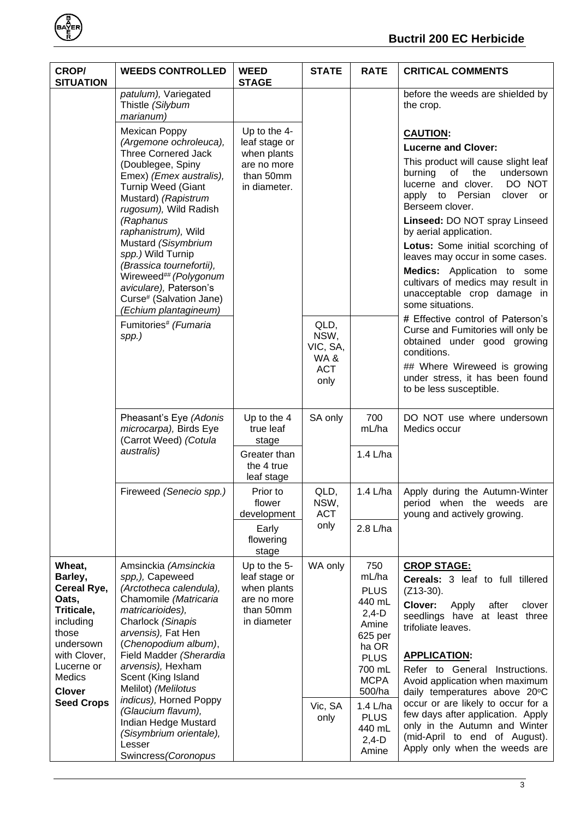| <b>CROP/</b><br><b>SITUATION</b>                                                                                                                                         | <b>WEEDS CONTROLLED</b>                                                                                                                                                                                                                                                                                                                                                                                                                                     | <b>WEED</b><br><b>STAGE</b>                                                              | <b>STATE</b>                          | <b>RATE</b>                                                                                                                                 | <b>CRITICAL COMMENTS</b>                                                                                                                                                                                                                                                                                                                                                                                                                                                                                                                                                         |
|--------------------------------------------------------------------------------------------------------------------------------------------------------------------------|-------------------------------------------------------------------------------------------------------------------------------------------------------------------------------------------------------------------------------------------------------------------------------------------------------------------------------------------------------------------------------------------------------------------------------------------------------------|------------------------------------------------------------------------------------------|---------------------------------------|---------------------------------------------------------------------------------------------------------------------------------------------|----------------------------------------------------------------------------------------------------------------------------------------------------------------------------------------------------------------------------------------------------------------------------------------------------------------------------------------------------------------------------------------------------------------------------------------------------------------------------------------------------------------------------------------------------------------------------------|
|                                                                                                                                                                          | patulum), Variegated<br>Thistle (Silybum<br>marianum)                                                                                                                                                                                                                                                                                                                                                                                                       |                                                                                          |                                       |                                                                                                                                             | before the weeds are shielded by<br>the crop.                                                                                                                                                                                                                                                                                                                                                                                                                                                                                                                                    |
|                                                                                                                                                                          | Mexican Poppy<br>(Argemone ochroleuca),<br><b>Three Cornered Jack</b><br>(Doublegee, Spiny<br>Emex) (Emex australis),<br>Turnip Weed (Giant<br>Mustard) (Rapistrum<br>rugosum), Wild Radish<br>(Raphanus<br>raphanistrum), Wild<br>Mustard (Sisymbrium<br>spp.) Wild Turnip<br>(Brassica tournefortii),<br>Wireweed## (Polygonum<br>aviculare), Paterson's<br>Curse# (Salvation Jane)<br>(Echium plantagineum)<br>Fumitories <sup>#</sup> (Fumaria<br>spp.) | Up to the 4-<br>leaf stage or<br>when plants<br>are no more<br>than 50mm<br>in diameter. | QLD,<br>NSW,                          |                                                                                                                                             | <b>CAUTION:</b><br><b>Lucerne and Clover:</b><br>This product will cause slight leaf<br>of<br>the<br>burning<br>undersown<br>DO NOT<br>lucerne and clover.<br>apply to Persian<br>clover or<br>Berseem clover.<br>Linseed: DO NOT spray Linseed<br>by aerial application.<br>Lotus: Some initial scorching of<br>leaves may occur in some cases.<br>Medics: Application to some<br>cultivars of medics may result in<br>unacceptable crop damage in<br>some situations.<br># Effective control of Paterson's<br>Curse and Fumitories will only be<br>obtained under good growing |
|                                                                                                                                                                          |                                                                                                                                                                                                                                                                                                                                                                                                                                                             |                                                                                          | VIC, SA,<br>WA&<br><b>ACT</b><br>only |                                                                                                                                             | conditions.<br>## Where Wireweed is growing<br>under stress, it has been found<br>to be less susceptible.                                                                                                                                                                                                                                                                                                                                                                                                                                                                        |
|                                                                                                                                                                          | Pheasant's Eye (Adonis<br>microcarpa), Birds Eye<br>(Carrot Weed) (Cotula                                                                                                                                                                                                                                                                                                                                                                                   | Up to the 4<br>true leaf<br>stage                                                        | SA only                               | 700<br>mL/ha                                                                                                                                | DO NOT use where undersown<br>Medics occur                                                                                                                                                                                                                                                                                                                                                                                                                                                                                                                                       |
|                                                                                                                                                                          | australis)                                                                                                                                                                                                                                                                                                                                                                                                                                                  | Greater than<br>the 4 true<br>leaf stage                                                 |                                       | 1.4 L/ha                                                                                                                                    |                                                                                                                                                                                                                                                                                                                                                                                                                                                                                                                                                                                  |
|                                                                                                                                                                          | Fireweed (Senecio spp.)                                                                                                                                                                                                                                                                                                                                                                                                                                     | Prior to<br>flower<br>development                                                        | QLD,<br>NSW,<br><b>ACT</b>            | 1.4 L/ha                                                                                                                                    | Apply during the Autumn-Winter<br>period when the weeds<br>are<br>young and actively growing.                                                                                                                                                                                                                                                                                                                                                                                                                                                                                    |
|                                                                                                                                                                          |                                                                                                                                                                                                                                                                                                                                                                                                                                                             | Early<br>flowering<br>stage                                                              | only                                  | 2.8 L/ha                                                                                                                                    |                                                                                                                                                                                                                                                                                                                                                                                                                                                                                                                                                                                  |
| Wheat,<br>Barley,<br>Cereal Rye,<br>Oats,<br>Triticale,<br>including<br>those<br>undersown<br>with Clover,<br>Lucerne or<br>Medics<br><b>Clover</b><br><b>Seed Crops</b> | Amsinckia (Amsinckia<br>spp,), Capeweed<br>(Arctotheca calendula),<br>Chamomile (Matricaria<br>matricarioides),<br>Charlock (Sinapis<br>arvensis), Fat Hen<br>(Chenopodium album),<br>Field Madder (Sherardia<br>arvensis), Hexham<br>Scent (King Island<br>Melilot) (Melilotus<br>indicus), Horned Poppy                                                                                                                                                   | Up to the 5-<br>leaf stage or<br>when plants<br>are no more<br>than 50mm<br>in diameter  | WA only<br>Vic, SA                    | 750<br>mL/ha<br><b>PLUS</b><br>440 mL<br>$2,4-D$<br>Amine<br>625 per<br>ha OR<br><b>PLUS</b><br>700 mL<br><b>MCPA</b><br>500/ha<br>1.4 L/ha | <b>CROP STAGE:</b><br>Cereals: 3 leaf to full tillered<br>$(Z13-30)$ .<br>Clover:<br>Apply<br>after<br>clover<br>seedlings have at least three<br>trifoliate leaves.<br><b>APPLICATION:</b><br>Refer to General<br>Instructions.<br>Avoid application when maximum<br>daily temperatures above 20°C<br>occur or are likely to occur for a                                                                                                                                                                                                                                        |
|                                                                                                                                                                          | (Glaucium flavum),<br>Indian Hedge Mustard<br>(Sisymbrium orientale),<br>Lesser<br>Swincress (Coronopus                                                                                                                                                                                                                                                                                                                                                     |                                                                                          | only                                  | <b>PLUS</b><br>440 mL<br>$2,4-D$<br>Amine                                                                                                   | few days after application. Apply<br>only in the Autumn and Winter<br>(mid-April to end of August).<br>Apply only when the weeds are                                                                                                                                                                                                                                                                                                                                                                                                                                             |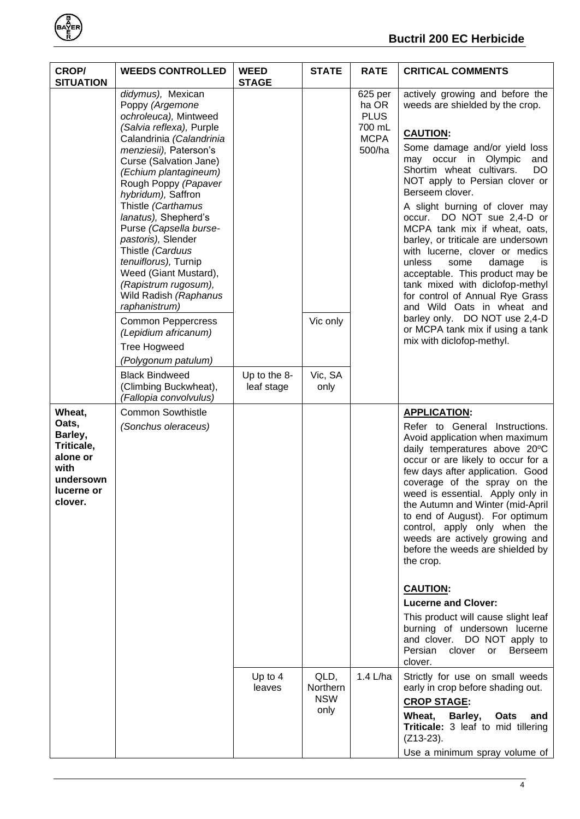

| <b>CROP/</b><br><b>SITUATION</b>                                                                   | <b>WEEDS CONTROLLED</b>                                                                                                                                                                                                                                                                                                                                                                                                                                                                                                                                           | <b>WEED</b><br><b>STAGE</b> | <b>STATE</b>                           | <b>RATE</b>                                                        | <b>CRITICAL COMMENTS</b>                                                                                                                                                                                                                                                                                                                                                                                                                                                                                                                                                                                                                                                                                |
|----------------------------------------------------------------------------------------------------|-------------------------------------------------------------------------------------------------------------------------------------------------------------------------------------------------------------------------------------------------------------------------------------------------------------------------------------------------------------------------------------------------------------------------------------------------------------------------------------------------------------------------------------------------------------------|-----------------------------|----------------------------------------|--------------------------------------------------------------------|---------------------------------------------------------------------------------------------------------------------------------------------------------------------------------------------------------------------------------------------------------------------------------------------------------------------------------------------------------------------------------------------------------------------------------------------------------------------------------------------------------------------------------------------------------------------------------------------------------------------------------------------------------------------------------------------------------|
|                                                                                                    | didymus), Mexican<br>Poppy (Argemone<br>ochroleuca), Mintweed<br>(Salvia reflexa), Purple<br>Calandrinia (Calandrinia<br>menziesii), Paterson's<br>Curse (Salvation Jane)<br>(Echium plantagineum)<br>Rough Poppy (Papaver<br>hybridum), Saffron<br>Thistle (Carthamus<br>lanatus), Shepherd's<br>Purse (Capsella burse-<br>pastoris), Slender<br>Thistle (Carduus<br>tenuiflorus), Turnip<br>Weed (Giant Mustard),<br>(Rapistrum rugosum),<br>Wild Radish (Raphanus<br>raphanistrum)<br><b>Common Peppercress</b><br>(Lepidium africanum)<br><b>Tree Hogweed</b> |                             | Vic only                               | 625 per<br>ha OR<br><b>PLUS</b><br>700 mL<br><b>MCPA</b><br>500/ha | actively growing and before the<br>weeds are shielded by the crop.<br><b>CAUTION:</b><br>Some damage and/or yield loss<br>may occur in Olympic<br>and<br>Shortim wheat cultivars.<br>DO<br>NOT apply to Persian clover or<br>Berseem clover.<br>A slight burning of clover may<br>occur. DO NOT sue 2,4-D or<br>MCPA tank mix if wheat, oats,<br>barley, or triticale are undersown<br>with lucerne, clover or medics<br>unless<br>damage<br>some<br><b>is</b><br>acceptable. This product may be<br>tank mixed with diclofop-methyl<br>for control of Annual Rye Grass<br>and Wild Oats in wheat and<br>barley only. DO NOT use 2,4-D<br>or MCPA tank mix if using a tank<br>mix with diclofop-methyl. |
|                                                                                                    | (Polygonum patulum)<br><b>Black Bindweed</b><br>(Climbing Buckwheat),<br>(Fallopia convolvulus)                                                                                                                                                                                                                                                                                                                                                                                                                                                                   | Up to the 8-<br>leaf stage  | Vic, SA<br>only                        |                                                                    |                                                                                                                                                                                                                                                                                                                                                                                                                                                                                                                                                                                                                                                                                                         |
| Wheat,<br>Oats,<br>Barley,<br>Triticale,<br>alone or<br>with<br>undersown<br>lucerne or<br>clover. | <b>Common Sowthistle</b><br>(Sonchus oleraceus)                                                                                                                                                                                                                                                                                                                                                                                                                                                                                                                   |                             |                                        |                                                                    | <b>APPLICATION:</b><br>Refer to General Instructions.<br>Avoid application when maximum<br>daily temperatures above 20°C<br>occur or are likely to occur for a<br>few days after application. Good<br>coverage of the spray on the<br>weed is essential. Apply only in<br>the Autumn and Winter (mid-April<br>to end of August). For optimum<br>control, apply only when the<br>weeds are actively growing and<br>before the weeds are shielded by<br>the crop.<br><b>CAUTION:</b><br><b>Lucerne and Clover:</b><br>This product will cause slight leaf<br>burning of undersown lucerne<br>and clover. DO NOT apply to<br>Persian<br>clover<br><b>or</b><br><b>Berseem</b><br>clover.                   |
|                                                                                                    |                                                                                                                                                                                                                                                                                                                                                                                                                                                                                                                                                                   | Up to 4<br>leaves           | QLD,<br>Northern<br><b>NSW</b><br>only | 1.4 L/ha                                                           | Strictly for use on small weeds<br>early in crop before shading out.<br><b>CROP STAGE:</b><br>Wheat,<br>Barley,<br>Oats<br>and<br>Triticale: 3 leaf to mid tillering<br>$(Z13-23)$ .<br>Use a minimum spray volume of                                                                                                                                                                                                                                                                                                                                                                                                                                                                                   |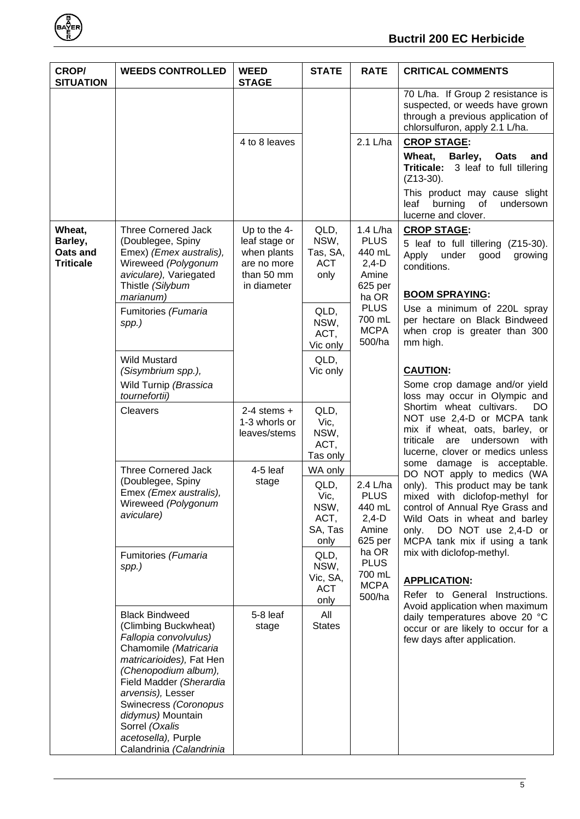

# **Buctril 200 EC Herbicide**

| <b>CROP/</b><br><b>SITUATION</b>                  | <b>WEEDS CONTROLLED</b>                                                                                                                                                                                                                                                                                                | <b>WEED</b><br><b>STAGE</b>                                                              | <b>STATE</b>                                               | <b>RATE</b>                                                               | <b>CRITICAL COMMENTS</b>                                                                                                                                                                                                                                           |
|---------------------------------------------------|------------------------------------------------------------------------------------------------------------------------------------------------------------------------------------------------------------------------------------------------------------------------------------------------------------------------|------------------------------------------------------------------------------------------|------------------------------------------------------------|---------------------------------------------------------------------------|--------------------------------------------------------------------------------------------------------------------------------------------------------------------------------------------------------------------------------------------------------------------|
|                                                   |                                                                                                                                                                                                                                                                                                                        |                                                                                          |                                                            |                                                                           | 70 L/ha. If Group 2 resistance is<br>suspected, or weeds have grown<br>through a previous application of<br>chlorsulfuron, apply 2.1 L/ha.                                                                                                                         |
|                                                   |                                                                                                                                                                                                                                                                                                                        | 4 to 8 leaves                                                                            |                                                            | 2.1 L/ha                                                                  | <b>CROP STAGE:</b>                                                                                                                                                                                                                                                 |
|                                                   |                                                                                                                                                                                                                                                                                                                        |                                                                                          |                                                            |                                                                           | Wheat,<br>Barley,<br>Oats<br>and<br>Triticale: 3 leaf to full tillering<br>$(Z13-30)$ .                                                                                                                                                                            |
|                                                   |                                                                                                                                                                                                                                                                                                                        |                                                                                          |                                                            |                                                                           | This product may cause slight<br>burning<br>leaf<br>of<br>undersown<br>lucerne and clover.                                                                                                                                                                         |
| Wheat,<br>Barley,<br>Oats and<br><b>Triticale</b> | <b>Three Cornered Jack</b><br>(Doublegee, Spiny<br>Emex) (Emex australis),<br>Wireweed (Polygonum<br>aviculare), Variegated<br>Thistle (Silybum<br>marianum)                                                                                                                                                           | Up to the 4-<br>leaf stage or<br>when plants<br>are no more<br>than 50 mm<br>in diameter | QLD,<br>NSW,<br>Tas, SA,<br><b>ACT</b><br>only             | 1.4 L/ha<br><b>PLUS</b><br>440 mL<br>$2,4-D$<br>Amine<br>625 per<br>ha OR | <b>CROP STAGE:</b><br>5 leaf to full tillering (Z15-30).<br>Apply<br>under<br>good<br>growing<br>conditions.<br><b>BOOM SPRAYING:</b>                                                                                                                              |
|                                                   | Fumitories (Fumaria<br>spp.)                                                                                                                                                                                                                                                                                           |                                                                                          | QLD,<br>NSW,<br>ACT,<br>Vic only                           | <b>PLUS</b><br>700 mL<br><b>MCPA</b><br>500/ha                            | Use a minimum of 220L spray<br>per hectare on Black Bindweed<br>when crop is greater than 300<br>mm high.                                                                                                                                                          |
|                                                   | <b>Wild Mustard</b><br>(Sisymbrium spp.),<br>Wild Turnip (Brassica<br>tournefortii)                                                                                                                                                                                                                                    |                                                                                          | QLD,<br>Vic only                                           |                                                                           | <b>CAUTION:</b><br>Some crop damage and/or yield<br>loss may occur in Olympic and                                                                                                                                                                                  |
|                                                   | Cleavers                                                                                                                                                                                                                                                                                                               | $2-4$ stems $+$<br>1-3 whorls or<br>leaves/stems                                         | QLD,<br>Vic,<br>NSW,<br>ACT,<br>Tas only                   |                                                                           | Shortim wheat cultivars.<br>DO.<br>NOT use 2,4-D or MCPA tank<br>mix if wheat, oats, barley, or<br>triticale<br>undersown<br>are<br>with<br>lucerne, clover or medics unless                                                                                       |
|                                                   | <b>Three Cornered Jack</b><br>(Doublegee, Spiny<br>Emex (Emex australis),<br>Wireweed (Polygonum<br>aviculare)                                                                                                                                                                                                         | $4-5$ leaf<br>stage                                                                      | WA only<br>QLD,<br>Vic,<br>NSW,<br>ACT,<br>SA, Tas<br>only | 2.4 L/ha<br><b>PLUS</b><br>440 mL<br>$2,4-D$<br>Amine<br>625 per          | some damage is acceptable.<br>DO NOT apply to medics (WA<br>only). This product may be tank<br>mixed with diclofop-methyl for<br>control of Annual Rye Grass and<br>Wild Oats in wheat and barley<br>DO NOT use 2,4-D or<br>only.<br>MCPA tank mix if using a tank |
|                                                   | Fumitories (Fumaria<br>spp.)                                                                                                                                                                                                                                                                                           |                                                                                          | QLD,<br>NSW,<br>Vic, SA,<br><b>ACT</b><br>only             | ha OR<br><b>PLUS</b><br>700 mL<br><b>MCPA</b><br>500/ha                   | mix with diclofop-methyl.<br><b>APPLICATION:</b><br>Refer to General Instructions.                                                                                                                                                                                 |
|                                                   | <b>Black Bindweed</b><br>(Climbing Buckwheat)<br>Fallopia convolvulus)<br>Chamomile (Matricaria<br>matricarioides), Fat Hen<br>(Chenopodium album),<br>Field Madder (Sherardia<br>arvensis), Lesser<br>Swinecress (Coronopus<br>didymus) Mountain<br>Sorrel (Oxalis<br>acetosella), Purple<br>Calandrinia (Calandrinia | 5-8 leaf<br>stage                                                                        | All<br><b>States</b>                                       |                                                                           | Avoid application when maximum<br>daily temperatures above 20 °C<br>occur or are likely to occur for a<br>few days after application.                                                                                                                              |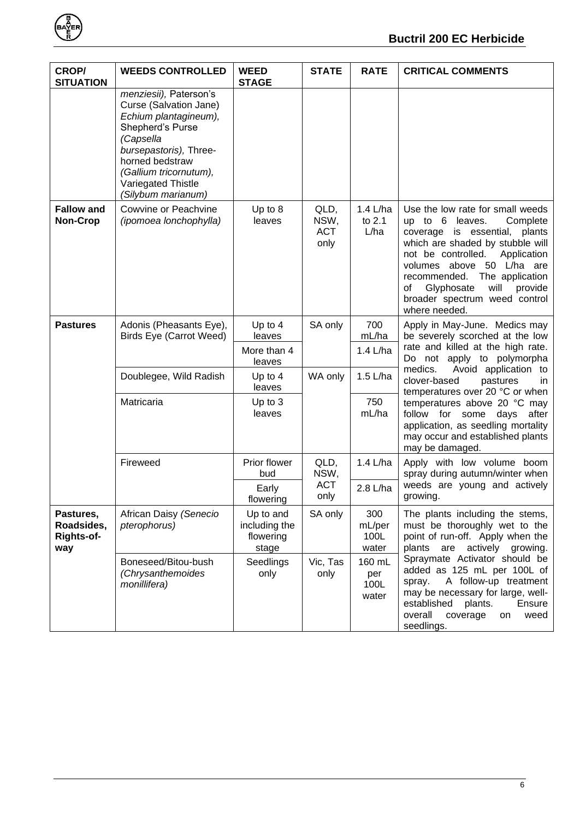

| <b>CROP/</b><br><b>SITUATION</b>                    | <b>WEEDS CONTROLLED</b>                                                                                                                                                                                                       | <b>WEED</b><br><b>STAGE</b>                      | <b>STATE</b>                       | <b>RATE</b>                    | <b>CRITICAL COMMENTS</b>                                                                                                                                                                                                                                                                                                           |
|-----------------------------------------------------|-------------------------------------------------------------------------------------------------------------------------------------------------------------------------------------------------------------------------------|--------------------------------------------------|------------------------------------|--------------------------------|------------------------------------------------------------------------------------------------------------------------------------------------------------------------------------------------------------------------------------------------------------------------------------------------------------------------------------|
|                                                     | menziesii), Paterson's<br>Curse (Salvation Jane)<br>Echium plantagineum),<br>Shepherd's Purse<br>(Capsella<br>bursepastoris), Three-<br>horned bedstraw<br>(Gallium tricornutum),<br>Variegated Thistle<br>(Silybum marianum) |                                                  |                                    |                                |                                                                                                                                                                                                                                                                                                                                    |
| <b>Fallow and</b><br><b>Non-Crop</b>                | Cowvine or Peachvine<br>(ipomoea lonchophylla)                                                                                                                                                                                | Up to 8<br>leaves                                | QLD,<br>NSW,<br><b>ACT</b><br>only | 1.4 L/ha<br>to 2.1<br>L/ha     | Use the low rate for small weeds<br>up to 6 leaves.<br>Complete<br>coverage is essential, plants<br>which are shaded by stubble will<br>not be controlled.<br>Application<br>volumes above 50 L/ha are<br>recommended.<br>The application<br>Glyphosate<br>will<br>provide<br>оt<br>broader spectrum weed control<br>where needed. |
| <b>Pastures</b>                                     | Adonis (Pheasants Eye),<br>Birds Eye (Carrot Weed)                                                                                                                                                                            | Up to 4<br>leaves<br>More than 4<br>leaves       | SA only                            | 700<br>mL/ha<br>1.4 L/ha       | Apply in May-June. Medics may<br>be severely scorched at the low<br>rate and killed at the high rate.<br>Do not apply to polymorpha                                                                                                                                                                                                |
|                                                     | Doublegee, Wild Radish                                                                                                                                                                                                        | Up to $4$<br>leaves                              | WA only                            | 1.5 L/ha                       | medics.<br>Avoid application to<br>clover-based<br>pastures<br>in.<br>temperatures over 20 °C or when                                                                                                                                                                                                                              |
|                                                     | Matricaria                                                                                                                                                                                                                    | Up to 3<br>leaves                                |                                    | 750<br>mL/ha                   | temperatures above 20 °C may<br>follow for some days<br>after<br>application, as seedling mortality<br>may occur and established plants<br>may be damaged.                                                                                                                                                                         |
|                                                     | Fireweed                                                                                                                                                                                                                      | Prior flower<br>bud                              | QLD,<br>NSW,<br><b>ACT</b>         | 1.4 L/ha                       | Apply with low volume boom<br>spray during autumn/winter when<br>weeds are young and actively                                                                                                                                                                                                                                      |
|                                                     |                                                                                                                                                                                                                               | Early<br>flowering                               | only                               | 2.8 L/ha                       | growing.                                                                                                                                                                                                                                                                                                                           |
| Pastures,<br>Roadsides,<br><b>Rights-of-</b><br>way | African Daisy (Senecio<br>pterophorus)                                                                                                                                                                                        | Up to and<br>including the<br>flowering<br>stage | SA only                            | 300<br>mL/per<br>100L<br>water | The plants including the stems,<br>must be thoroughly wet to the<br>point of run-off. Apply when the<br>actively<br>plants are<br>growing.                                                                                                                                                                                         |
|                                                     | Boneseed/Bitou-bush<br>(Chrysanthemoides<br>monillifera)                                                                                                                                                                      | Seedlings<br>only                                | Vic, Tas<br>only                   | 160 mL<br>per<br>100L<br>water | Spraymate Activator should be<br>added as 125 mL per 100L of<br>A follow-up treatment<br>spray.<br>may be necessary for large, well-<br>plants.<br>established<br>Ensure<br>overall<br>weed<br>coverage<br>on<br>seedlings.                                                                                                        |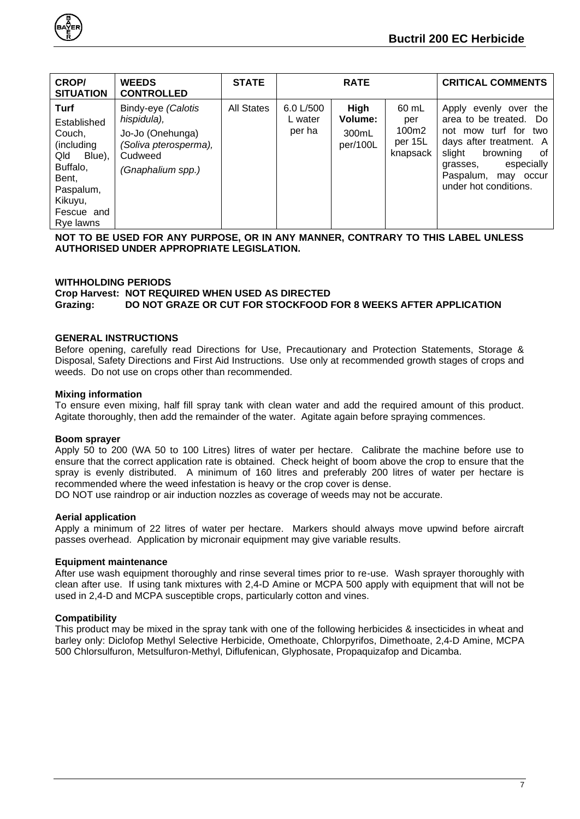

| <b>CROP/</b><br><b>SITUATION</b>                                                                                                            | <b>WEEDS</b><br><b>CONTROLLED</b>                                                                              | <b>STATE</b>      |                                | <b>RATE</b>                          |                                              | <b>CRITICAL COMMENTS</b>                                                                                                                                                                                 |
|---------------------------------------------------------------------------------------------------------------------------------------------|----------------------------------------------------------------------------------------------------------------|-------------------|--------------------------------|--------------------------------------|----------------------------------------------|----------------------------------------------------------------------------------------------------------------------------------------------------------------------------------------------------------|
| <b>Turf</b><br>Established<br>Couch,<br>(including<br>Qld<br>Blue),<br>Buffalo,<br>Bent,<br>Paspalum,<br>Kikuyu,<br>Fescue and<br>Rye lawns | Bindy-eye (Calotis<br>hispidula),<br>Jo-Jo (Onehunga)<br>(Soliva pterosperma),<br>Cudweed<br>(Gnaphalium spp.) | <b>All States</b> | 6.0 L/500<br>L water<br>per ha | High<br>Volume:<br>300mL<br>per/100L | 60 mL<br>per<br>100m2<br>per 15L<br>knapsack | Apply evenly over the<br>area to be treated. Do<br>not mow turf for two<br>days after treatment. A<br>slight<br>browning<br>of<br>especially<br>grasses,<br>Paspalum, may occur<br>under hot conditions. |

**NOT TO BE USED FOR ANY PURPOSE, OR IN ANY MANNER, CONTRARY TO THIS LABEL UNLESS AUTHORISED UNDER APPROPRIATE LEGISLATION.**

#### <span id="page-6-0"></span>**WITHHOLDING PERIODS**

**Crop Harvest: NOT REQUIRED WHEN USED AS DIRECTED Grazing: DO NOT GRAZE OR CUT FOR STOCKFOOD FOR 8 WEEKS AFTER APPLICATION**

#### <span id="page-6-1"></span>**GENERAL INSTRUCTIONS**

Before opening, carefully read Directions for Use, Precautionary and Protection Statements, Storage & Disposal, Safety Directions and First Aid Instructions. Use only at recommended growth stages of crops and weeds. Do not use on crops other than recommended.

#### **Mixing information**

To ensure even mixing, half fill spray tank with clean water and add the required amount of this product. Agitate thoroughly, then add the remainder of the water. Agitate again before spraying commences.

#### **Boom sprayer**

Apply 50 to 200 (WA 50 to 100 Litres) litres of water per hectare. Calibrate the machine before use to ensure that the correct application rate is obtained. Check height of boom above the crop to ensure that the spray is evenly distributed. A minimum of 160 litres and preferably 200 litres of water per hectare is recommended where the weed infestation is heavy or the crop cover is dense.

DO NOT use raindrop or air induction nozzles as coverage of weeds may not be accurate.

#### **Aerial application**

Apply a minimum of 22 litres of water per hectare. Markers should always move upwind before aircraft passes overhead. Application by micronair equipment may give variable results.

#### **Equipment maintenance**

After use wash equipment thoroughly and rinse several times prior to re-use. Wash sprayer thoroughly with clean after use. If using tank mixtures with 2,4-D Amine or MCPA 500 apply with equipment that will not be used in 2,4-D and MCPA susceptible crops, particularly cotton and vines.

#### **Compatibility**

This product may be mixed in the spray tank with one of the following herbicides & insecticides in wheat and barley only: Diclofop Methyl Selective Herbicide, Omethoate, Chlorpyrifos, Dimethoate, 2,4-D Amine, MCPA 500 Chlorsulfuron, Metsulfuron-Methyl, Diflufenican, Glyphosate, Propaquizafop and Dicamba.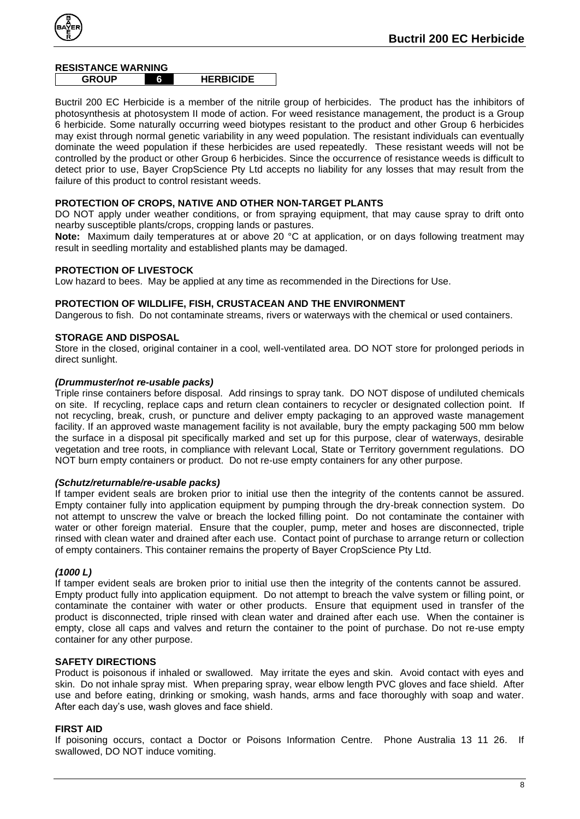

#### <span id="page-7-0"></span>**RESISTANCE WARNING**

**GROUP 6 5HERBICIDE**

Buctril 200 EC Herbicide is a member of the nitrile group of herbicides. The product has the inhibitors of photosynthesis at photosystem II mode of action. For weed resistance management, the product is a Group 6 herbicide. Some naturally occurring weed biotypes resistant to the product and other Group 6 herbicides may exist through normal genetic variability in any weed population. The resistant individuals can eventually dominate the weed population if these herbicides are used repeatedly. These resistant weeds will not be controlled by the product or other Group 6 herbicides. Since the occurrence of resistance weeds is difficult to detect prior to use, Bayer CropScience Pty Ltd accepts no liability for any losses that may result from the failure of this product to control resistant weeds.

# <span id="page-7-1"></span>**PROTECTION OF CROPS, NATIVE AND OTHER NON-TARGET PLANTS**

DO NOT apply under weather conditions, or from spraying equipment, that may cause spray to drift onto nearby susceptible plants/crops, cropping lands or pastures.

**Note:** Maximum daily temperatures at or above 20 °C at application, or on days following treatment may result in seedling mortality and established plants may be damaged.

#### <span id="page-7-2"></span>**PROTECTION OF LIVESTOCK**

Low hazard to bees. May be applied at any time as recommended in the Directions for Use.

#### <span id="page-7-3"></span>**PROTECTION OF WILDLIFE, FISH, CRUSTACEAN AND THE ENVIRONMENT**

Dangerous to fish. Do not contaminate streams, rivers or waterways with the chemical or used containers.

#### <span id="page-7-4"></span>**STORAGE AND DISPOSAL**

Store in the closed, original container in a cool, well-ventilated area. DO NOT store for prolonged periods in direct sunlight.

#### *(Drummuster/not re-usable packs)*

Triple rinse containers before disposal. Add rinsings to spray tank. DO NOT dispose of undiluted chemicals on site. If recycling, replace caps and return clean containers to recycler or designated collection point. If not recycling, break, crush, or puncture and deliver empty packaging to an approved waste management facility. If an approved waste management facility is not available, bury the empty packaging 500 mm below the surface in a disposal pit specifically marked and set up for this purpose, clear of waterways, desirable vegetation and tree roots, in compliance with relevant Local, State or Territory government regulations. DO NOT burn empty containers or product. Do not re-use empty containers for any other purpose.

#### *(Schutz/returnable/re-usable packs)*

If tamper evident seals are broken prior to initial use then the integrity of the contents cannot be assured. Empty container fully into application equipment by pumping through the dry-break connection system. Do not attempt to unscrew the valve or breach the locked filling point. Do not contaminate the container with water or other foreign material. Ensure that the coupler, pump, meter and hoses are disconnected, triple rinsed with clean water and drained after each use. Contact point of purchase to arrange return or collection of empty containers. This container remains the property of Bayer CropScience Pty Ltd.

#### *(1000 L)*

If tamper evident seals are broken prior to initial use then the integrity of the contents cannot be assured. Empty product fully into application equipment. Do not attempt to breach the valve system or filling point, or contaminate the container with water or other products. Ensure that equipment used in transfer of the product is disconnected, triple rinsed with clean water and drained after each use. When the container is empty, close all caps and valves and return the container to the point of purchase. Do not re-use empty container for any other purpose.

#### <span id="page-7-5"></span>**SAFETY DIRECTIONS**

Product is poisonous if inhaled or swallowed. May irritate the eyes and skin. Avoid contact with eyes and skin. Do not inhale spray mist. When preparing spray, wear elbow length PVC gloves and face shield. After use and before eating, drinking or smoking, wash hands, arms and face thoroughly with soap and water. After each day's use, wash gloves and face shield.

#### <span id="page-7-6"></span>**FIRST AID**

If poisoning occurs, contact a Doctor or Poisons Information Centre. Phone Australia 13 11 26. If swallowed, DO NOT induce vomiting.